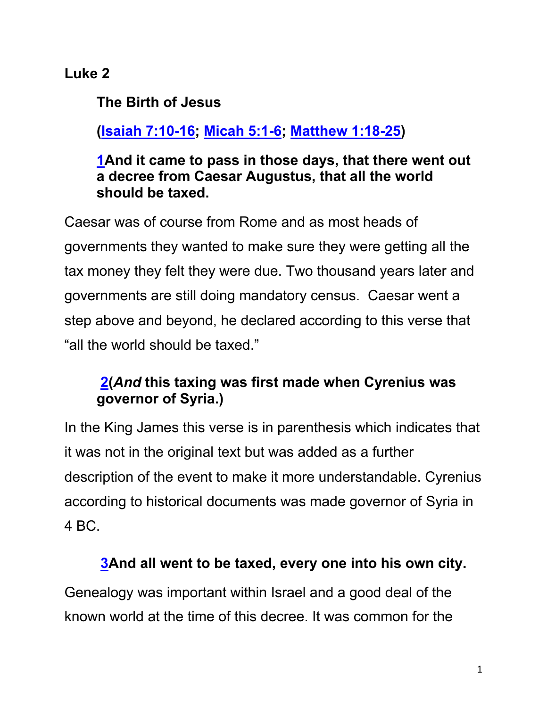# **Luke 2**

**The Birth of Jesus**

# **(Isaiah 7:10-16; Micah 5:1-6; Matthew 1:18-25)**

#### **1And it came to pass in those days, that there went out a decree from Caesar Augustus, that all the world should be taxed.**

Caesar was of course from Rome and as most heads of governments they wanted to make sure they were getting all the tax money they felt they were due. Two thousand years later and governments are still doing mandatory census. Caesar went a step above and beyond, he declared according to this verse that "all the world should be taxed."

# **2(***And* **this taxing was first made when Cyrenius was governor of Syria.)**

In the King James this verse is in parenthesis which indicates that it was not in the original text but was added as a further description of the event to make it more understandable. Cyrenius according to historical documents was made governor of Syria in 4 BC.

### **3And all went to be taxed, every one into his own city.**

Genealogy was important within Israel and a good deal of the known world at the time of this decree. It was common for the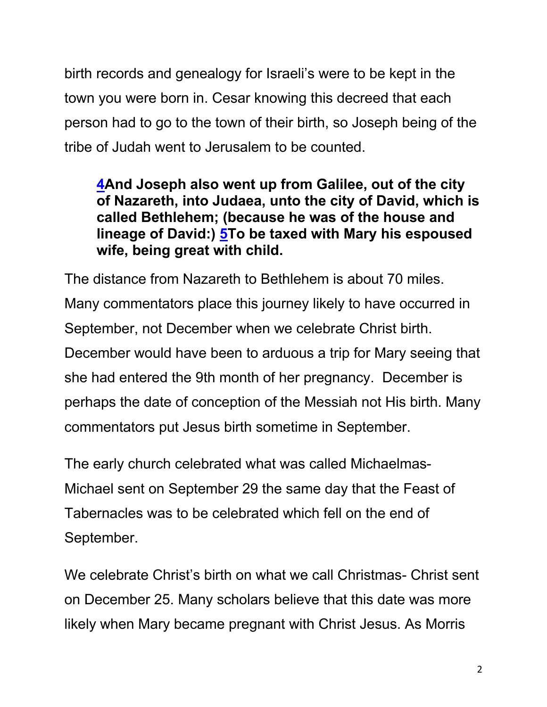birth records and genealogy for Israeli's were to be kept in the town you were born in. Cesar knowing this decreed that each person had to go to the town of their birth, so Joseph being of the tribe of Judah went to Jerusalem to be counted.

### **4And Joseph also went up from Galilee, out of the city of Nazareth, into Judaea, unto the city of David, which is called Bethlehem; (because he was of the house and lineage of David:) 5To be taxed with Mary his espoused wife, being great with child.**

The distance from Nazareth to Bethlehem is about 70 miles. Many commentators place this journey likely to have occurred in September, not December when we celebrate Christ birth. December would have been to arduous a trip for Mary seeing that she had entered the 9th month of her pregnancy. December is perhaps the date of conception of the Messiah not His birth. Many commentators put Jesus birth sometime in September.

The early church celebrated what was called Michaelmas-Michael sent on September 29 the same day that the Feast of Tabernacles was to be celebrated which fell on the end of September.

We celebrate Christ's birth on what we call Christmas- Christ sent on December 25. Many scholars believe that this date was more likely when Mary became pregnant with Christ Jesus. As Morris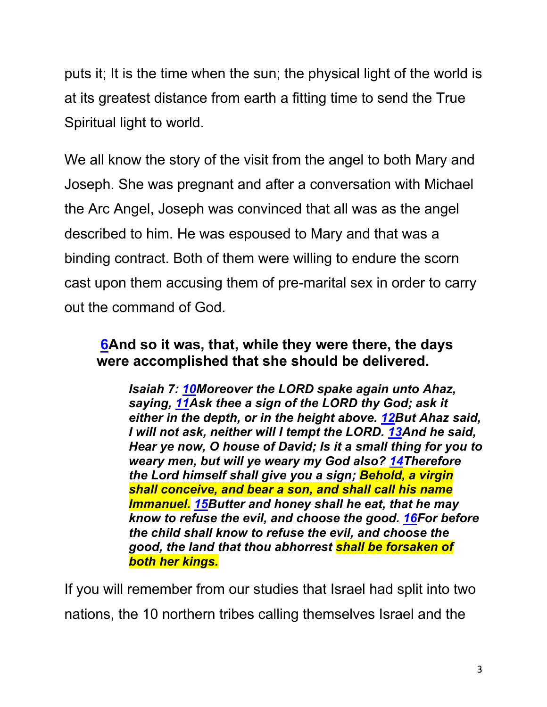puts it; It is the time when the sun; the physical light of the world is at its greatest distance from earth a fitting time to send the True Spiritual light to world.

We all know the story of the visit from the angel to both Mary and Joseph. She was pregnant and after a conversation with Michael the Arc Angel, Joseph was convinced that all was as the angel described to him. He was espoused to Mary and that was a binding contract. Both of them were willing to endure the scorn cast upon them accusing them of pre-marital sex in order to carry out the command of God.

#### **6And so it was, that, while they were there, the days were accomplished that she should be delivered.**

*Isaiah 7: 10Moreover the LORD spake again unto Ahaz, saying, 11Ask thee a sign of the LORD thy God; ask it either in the depth, or in the height above. 12But Ahaz said, I will not ask, neither will I tempt the LORD. 13And he said, Hear ye now, O house of David; Is it a small thing for you to weary men, but will ye weary my God also? 14Therefore the Lord himself shall give you a sign; Behold, a virgin shall conceive, and bear a son, and shall call his name Immanuel. 15Butter and honey shall he eat, that he may know to refuse the evil, and choose the good. 16For before the child shall know to refuse the evil, and choose the good, the land that thou abhorrest shall be forsaken of both her kings.*

If you will remember from our studies that Israel had split into two nations, the 10 northern tribes calling themselves Israel and the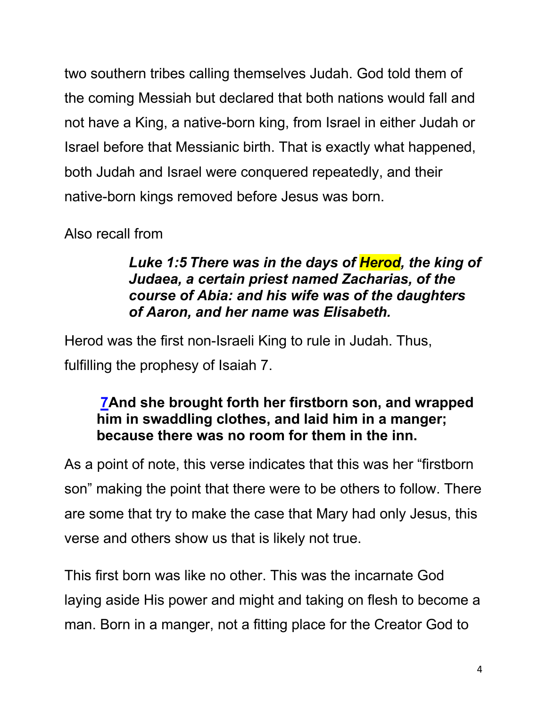two southern tribes calling themselves Judah. God told them of the coming Messiah but declared that both nations would fall and not have a King, a native-born king, from Israel in either Judah or Israel before that Messianic birth. That is exactly what happened, both Judah and Israel were conquered repeatedly, and their native-born kings removed before Jesus was born.

Also recall from

#### *Luke 1:5 There was in the days of Herod, the king of Judaea, a certain priest named Zacharias, of the course of Abia: and his wife was of the daughters of Aaron, and her name was Elisabeth.*

Herod was the first non-Israeli King to rule in Judah. Thus, fulfilling the prophesy of Isaiah 7.

# **7And she brought forth her firstborn son, and wrapped him in swaddling clothes, and laid him in a manger; because there was no room for them in the inn.**

As a point of note, this verse indicates that this was her "firstborn son" making the point that there were to be others to follow. There are some that try to make the case that Mary had only Jesus, this verse and others show us that is likely not true.

This first born was like no other. This was the incarnate God laying aside His power and might and taking on flesh to become a man. Born in a manger, not a fitting place for the Creator God to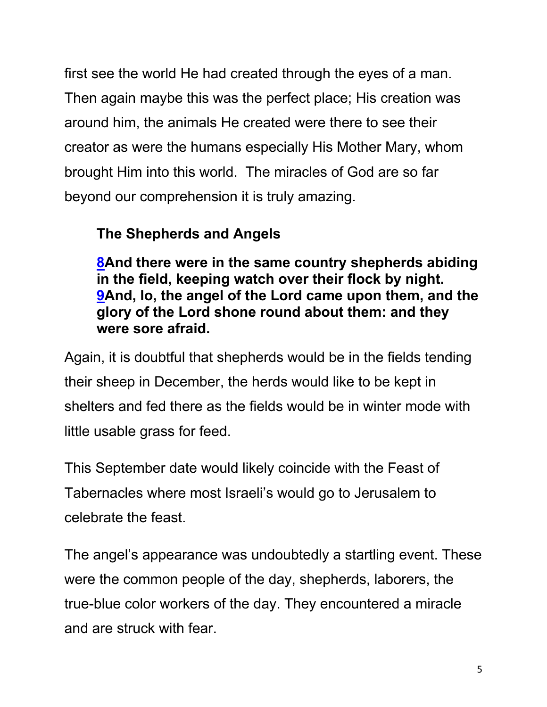first see the world He had created through the eyes of a man. Then again maybe this was the perfect place; His creation was around him, the animals He created were there to see their creator as were the humans especially His Mother Mary, whom brought Him into this world. The miracles of God are so far beyond our comprehension it is truly amazing.

# **The Shepherds and Angels**

**8And there were in the same country shepherds abiding in the field, keeping watch over their flock by night. 9And, lo, the angel of the Lord came upon them, and the glory of the Lord shone round about them: and they were sore afraid.** 

Again, it is doubtful that shepherds would be in the fields tending their sheep in December, the herds would like to be kept in shelters and fed there as the fields would be in winter mode with little usable grass for feed.

This September date would likely coincide with the Feast of Tabernacles where most Israeli's would go to Jerusalem to celebrate the feast.

The angel's appearance was undoubtedly a startling event. These were the common people of the day, shepherds, laborers, the true-blue color workers of the day. They encountered a miracle and are struck with fear.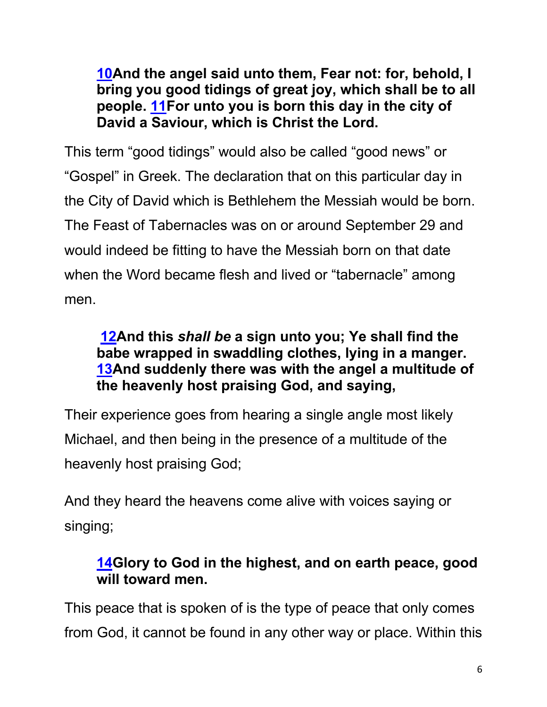**10And the angel said unto them, Fear not: for, behold, I bring you good tidings of great joy, which shall be to all people. 11For unto you is born this day in the city of David a Saviour, which is Christ the Lord.**

This term "good tidings" would also be called "good news" or "Gospel" in Greek. The declaration that on this particular day in the City of David which is Bethlehem the Messiah would be born. The Feast of Tabernacles was on or around September 29 and would indeed be fitting to have the Messiah born on that date when the Word became flesh and lived or "tabernacle" among men.

### **12And this** *shall be* **a sign unto you; Ye shall find the babe wrapped in swaddling clothes, lying in a manger. 13And suddenly there was with the angel a multitude of the heavenly host praising God, and saying,**

Their experience goes from hearing a single angle most likely Michael, and then being in the presence of a multitude of the heavenly host praising God;

And they heard the heavens come alive with voices saying or singing;

# **14Glory to God in the highest, and on earth peace, good will toward men.**

This peace that is spoken of is the type of peace that only comes from God, it cannot be found in any other way or place. Within this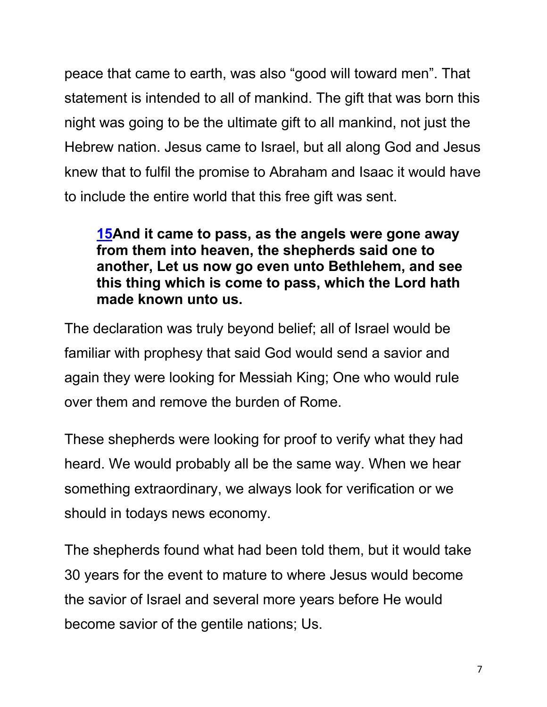peace that came to earth, was also "good will toward men". That statement is intended to all of mankind. The gift that was born this night was going to be the ultimate gift to all mankind, not just the Hebrew nation. Jesus came to Israel, but all along God and Jesus knew that to fulfil the promise to Abraham and Isaac it would have to include the entire world that this free gift was sent.

**15And it came to pass, as the angels were gone away from them into heaven, the shepherds said one to another, Let us now go even unto Bethlehem, and see this thing which is come to pass, which the Lord hath made known unto us.**

The declaration was truly beyond belief; all of Israel would be familiar with prophesy that said God would send a savior and again they were looking for Messiah King; One who would rule over them and remove the burden of Rome.

These shepherds were looking for proof to verify what they had heard. We would probably all be the same way. When we hear something extraordinary, we always look for verification or we should in todays news economy.

The shepherds found what had been told them, but it would take 30 years for the event to mature to where Jesus would become the savior of Israel and several more years before He would become savior of the gentile nations; Us.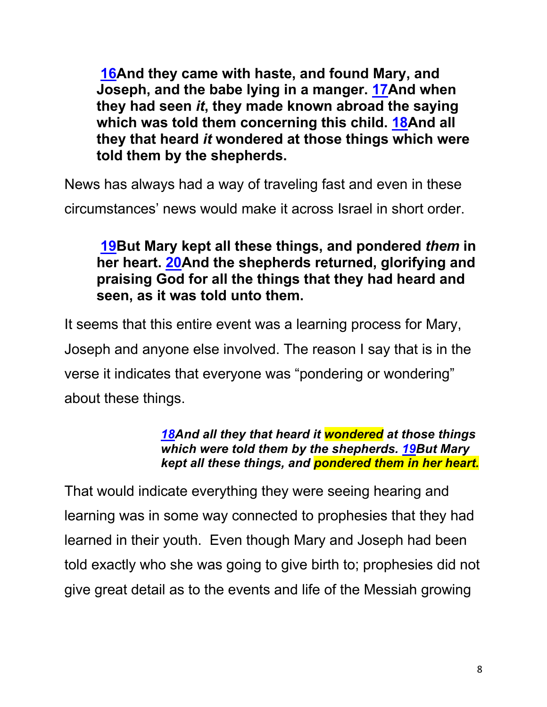**16And they came with haste, and found Mary, and Joseph, and the babe lying in a manger. 17And when they had seen** *it***, they made known abroad the saying which was told them concerning this child. 18And all they that heard** *it* **wondered at those things which were told them by the shepherds.**

News has always had a way of traveling fast and even in these

circumstances' news would make it across Israel in short order.

### **19But Mary kept all these things, and pondered** *them* **in her heart. 20And the shepherds returned, glorifying and praising God for all the things that they had heard and seen, as it was told unto them.**

It seems that this entire event was a learning process for Mary, Joseph and anyone else involved. The reason I say that is in the verse it indicates that everyone was "pondering or wondering" about these things.

#### *18And all they that heard it wondered at those things which were told them by the shepherds. 19But Mary kept all these things, and pondered them in her heart.*

That would indicate everything they were seeing hearing and learning was in some way connected to prophesies that they had learned in their youth. Even though Mary and Joseph had been told exactly who she was going to give birth to; prophesies did not give great detail as to the events and life of the Messiah growing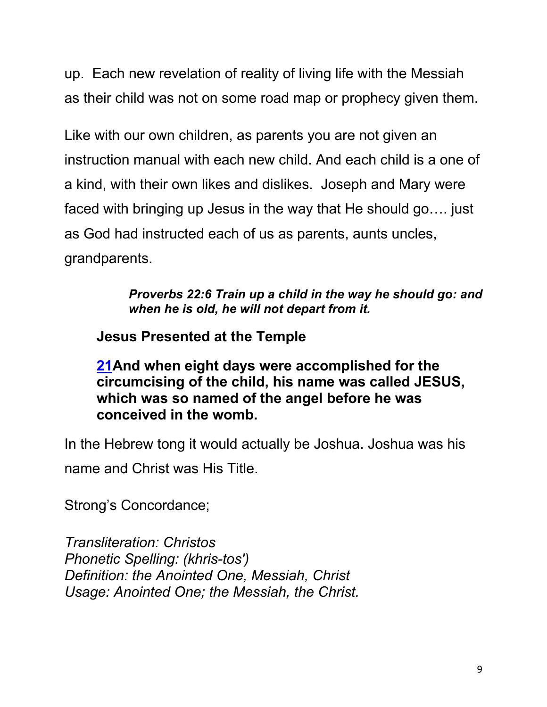up. Each new revelation of reality of living life with the Messiah as their child was not on some road map or prophecy given them.

Like with our own children, as parents you are not given an instruction manual with each new child. And each child is a one of a kind, with their own likes and dislikes. Joseph and Mary were faced with bringing up Jesus in the way that He should go…. just as God had instructed each of us as parents, aunts uncles, grandparents.

> *Proverbs 22:6 Train up a child in the way he should go: and when he is old, he will not depart from it.*

**Jesus Presented at the Temple**

**21And when eight days were accomplished for the circumcising of the child, his name was called JESUS, which was so named of the angel before he was conceived in the womb.**

In the Hebrew tong it would actually be Joshua. Joshua was his name and Christ was His Title.

Strong's Concordance;

*Transliteration: Christos Phonetic Spelling: (khris-tos') Definition: the Anointed One, Messiah, Christ Usage: Anointed One; the Messiah, the Christ.*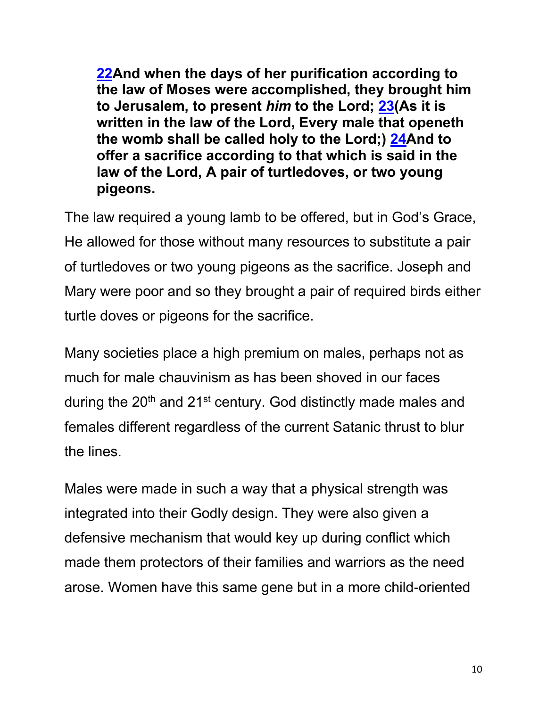**22And when the days of her purification according to the law of Moses were accomplished, they brought him to Jerusalem, to present** *him* **to the Lord; 23(As it is written in the law of the Lord, Every male that openeth the womb shall be called holy to the Lord;) 24And to offer a sacrifice according to that which is said in the law of the Lord, A pair of turtledoves, or two young pigeons.**

The law required a young lamb to be offered, but in God's Grace, He allowed for those without many resources to substitute a pair of turtledoves or two young pigeons as the sacrifice. Joseph and Mary were poor and so they brought a pair of required birds either turtle doves or pigeons for the sacrifice.

Many societies place a high premium on males, perhaps not as much for male chauvinism as has been shoved in our faces during the 20<sup>th</sup> and 21<sup>st</sup> century. God distinctly made males and females different regardless of the current Satanic thrust to blur the lines.

Males were made in such a way that a physical strength was integrated into their Godly design. They were also given a defensive mechanism that would key up during conflict which made them protectors of their families and warriors as the need arose. Women have this same gene but in a more child-oriented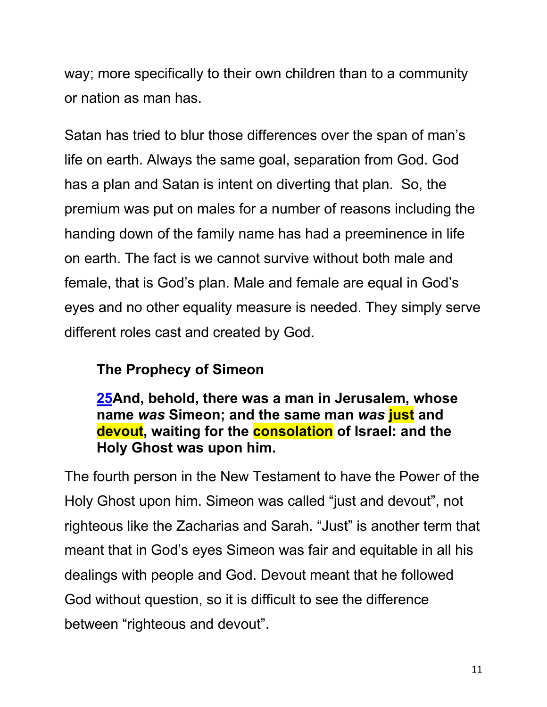way; more specifically to their own children than to a community or nation as man has.

Satan has tried to blur those differences over the span of man's life on earth. Always the same goal, separation from God. God has a plan and Satan is intent on diverting that plan. So, the premium was put on males for a number of reasons including the handing down of the family name has had a preeminence in life on earth. The fact is we cannot survive without both male and female, that is God's plan. Male and female are equal in God's eyes and no other equality measure is needed. They simply serve different roles cast and created by God.

### **The Prophecy of Simeon**

**25And, behold, there was a man in Jerusalem, whose name** *was* **Simeon; and the same man** *was* **just and devout, waiting for the consolation of Israel: and the Holy Ghost was upon him.**

The fourth person in the New Testament to have the Power of the Holy Ghost upon him. Simeon was called "just and devout", not righteous like the Zacharias and Sarah. "Just" is another term that meant that in God's eyes Simeon was fair and equitable in all his dealings with people and God. Devout meant that he followed God without question, so it is difficult to see the difference between "righteous and devout".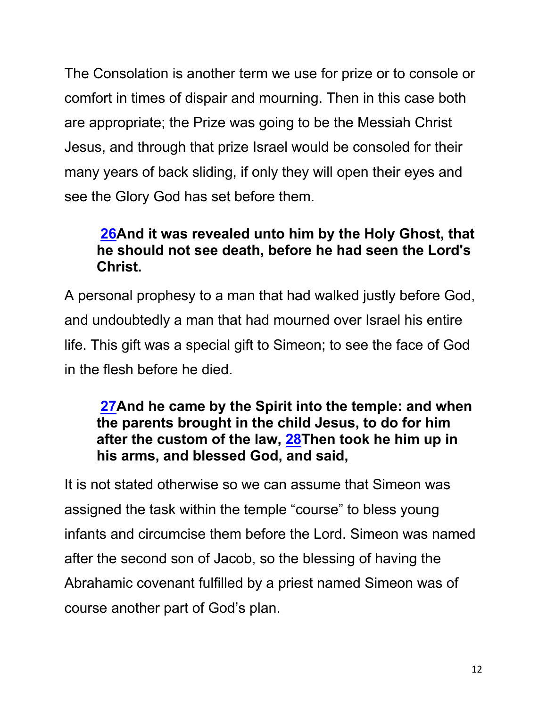The Consolation is another term we use for prize or to console or comfort in times of dispair and mourning. Then in this case both are appropriate; the Prize was going to be the Messiah Christ Jesus, and through that prize Israel would be consoled for their many years of back sliding, if only they will open their eyes and see the Glory God has set before them.

# **26And it was revealed unto him by the Holy Ghost, that he should not see death, before he had seen the Lord's Christ.**

A personal prophesy to a man that had walked justly before God, and undoubtedly a man that had mourned over Israel his entire life. This gift was a special gift to Simeon; to see the face of God in the flesh before he died.

#### **27And he came by the Spirit into the temple: and when the parents brought in the child Jesus, to do for him after the custom of the law, 28Then took he him up in his arms, and blessed God, and said,**

It is not stated otherwise so we can assume that Simeon was assigned the task within the temple "course" to bless young infants and circumcise them before the Lord. Simeon was named after the second son of Jacob, so the blessing of having the Abrahamic covenant fulfilled by a priest named Simeon was of course another part of God's plan.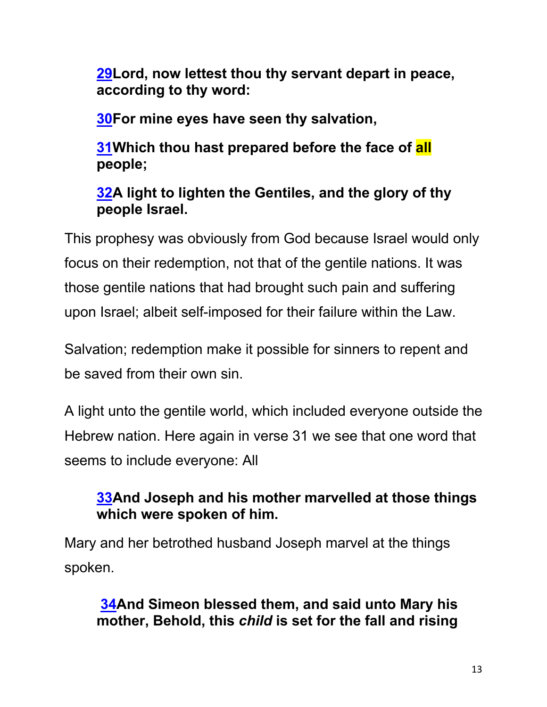**29Lord, now lettest thou thy servant depart in peace, according to thy word:**

**30For mine eyes have seen thy salvation,**

**31Which thou hast prepared before the face of all people;**

# **32A light to lighten the Gentiles, and the glory of thy people Israel.**

This prophesy was obviously from God because Israel would only focus on their redemption, not that of the gentile nations. It was those gentile nations that had brought such pain and suffering upon Israel; albeit self-imposed for their failure within the Law.

Salvation; redemption make it possible for sinners to repent and be saved from their own sin.

A light unto the gentile world, which included everyone outside the Hebrew nation. Here again in verse 31 we see that one word that seems to include everyone: All

# **33And Joseph and his mother marvelled at those things which were spoken of him.**

Mary and her betrothed husband Joseph marvel at the things spoken.

### **34And Simeon blessed them, and said unto Mary his mother, Behold, this** *child* **is set for the fall and rising**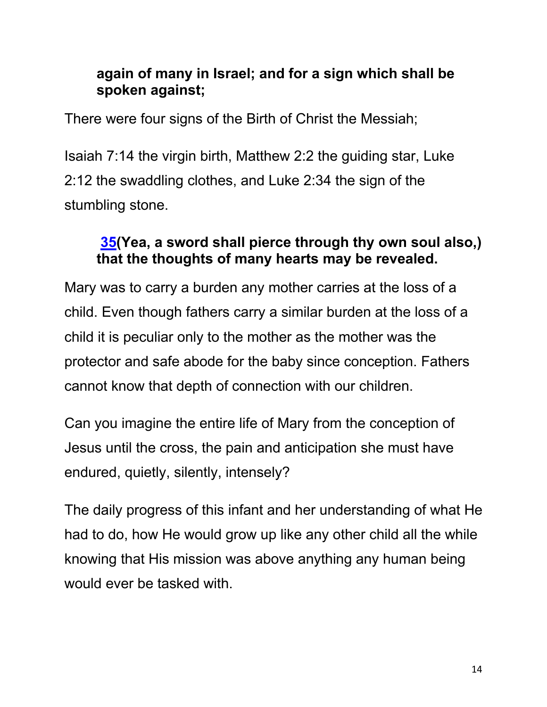### **again of many in Israel; and for a sign which shall be spoken against;**

There were four signs of the Birth of Christ the Messiah;

Isaiah 7:14 the virgin birth, Matthew 2:2 the guiding star, Luke 2:12 the swaddling clothes, and Luke 2:34 the sign of the stumbling stone.

# **35(Yea, a sword shall pierce through thy own soul also,) that the thoughts of many hearts may be revealed.**

Mary was to carry a burden any mother carries at the loss of a child. Even though fathers carry a similar burden at the loss of a child it is peculiar only to the mother as the mother was the protector and safe abode for the baby since conception. Fathers cannot know that depth of connection with our children.

Can you imagine the entire life of Mary from the conception of Jesus until the cross, the pain and anticipation she must have endured, quietly, silently, intensely?

The daily progress of this infant and her understanding of what He had to do, how He would grow up like any other child all the while knowing that His mission was above anything any human being would ever be tasked with.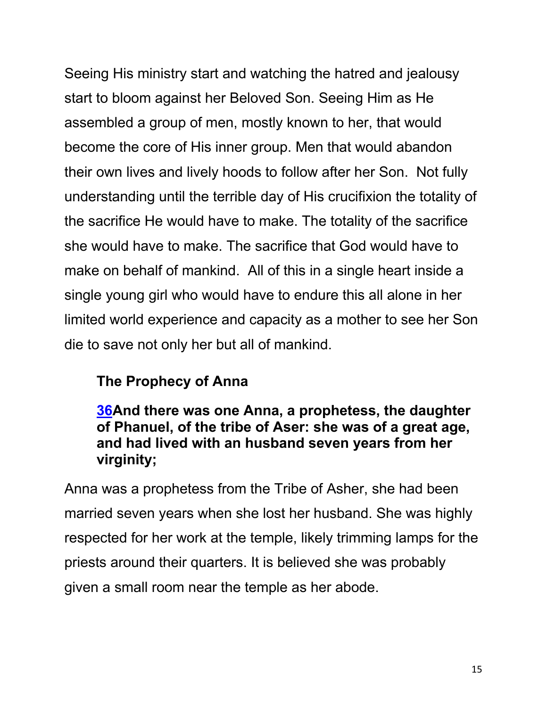Seeing His ministry start and watching the hatred and jealousy start to bloom against her Beloved Son. Seeing Him as He assembled a group of men, mostly known to her, that would become the core of His inner group. Men that would abandon their own lives and lively hoods to follow after her Son. Not fully understanding until the terrible day of His crucifixion the totality of the sacrifice He would have to make. The totality of the sacrifice she would have to make. The sacrifice that God would have to make on behalf of mankind. All of this in a single heart inside a single young girl who would have to endure this all alone in her limited world experience and capacity as a mother to see her Son die to save not only her but all of mankind.

# **The Prophecy of Anna**

#### **36And there was one Anna, a prophetess, the daughter of Phanuel, of the tribe of Aser: she was of a great age, and had lived with an husband seven years from her virginity;**

Anna was a prophetess from the Tribe of Asher, she had been married seven years when she lost her husband. She was highly respected for her work at the temple, likely trimming lamps for the priests around their quarters. It is believed she was probably given a small room near the temple as her abode.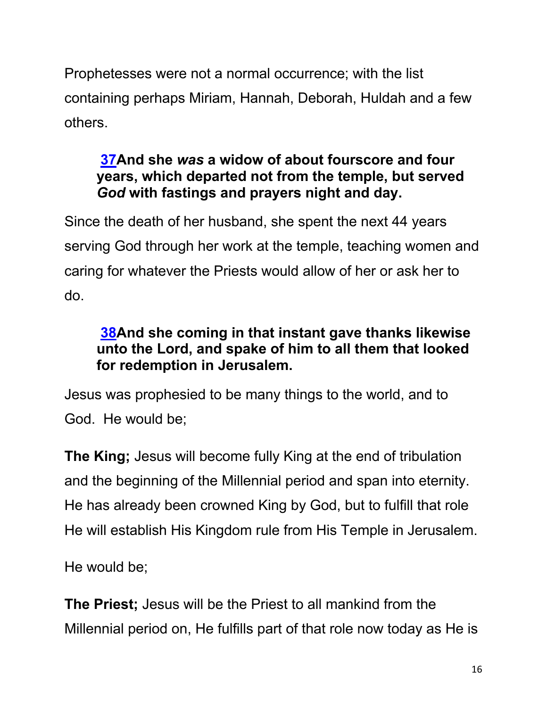Prophetesses were not a normal occurrence; with the list containing perhaps Miriam, Hannah, Deborah, Huldah and a few others.

# **37And she** *was* **a widow of about fourscore and four years, which departed not from the temple, but served**  *God* **with fastings and prayers night and day.**

Since the death of her husband, she spent the next 44 years serving God through her work at the temple, teaching women and caring for whatever the Priests would allow of her or ask her to do.

# **38And she coming in that instant gave thanks likewise unto the Lord, and spake of him to all them that looked for redemption in Jerusalem.**

Jesus was prophesied to be many things to the world, and to God. He would be;

**The King;** Jesus will become fully King at the end of tribulation and the beginning of the Millennial period and span into eternity. He has already been crowned King by God, but to fulfill that role He will establish His Kingdom rule from His Temple in Jerusalem.

He would be;

**The Priest;** Jesus will be the Priest to all mankind from the Millennial period on, He fulfills part of that role now today as He is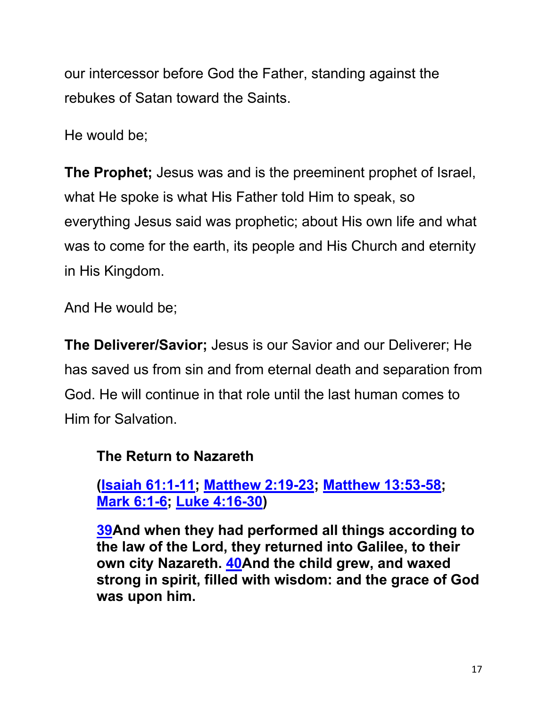our intercessor before God the Father, standing against the rebukes of Satan toward the Saints.

He would be;

**The Prophet;** Jesus was and is the preeminent prophet of Israel, what He spoke is what His Father told Him to speak, so everything Jesus said was prophetic; about His own life and what was to come for the earth, its people and His Church and eternity in His Kingdom.

And He would be;

**The Deliverer/Savior;** Jesus is our Savior and our Deliverer; He has saved us from sin and from eternal death and separation from God. He will continue in that role until the last human comes to Him for Salvation.

### **The Return to Nazareth**

**(Isaiah 61:1-11; Matthew 2:19-23; Matthew 13:53-58; Mark 6:1-6; Luke 4:16-30)**

**39And when they had performed all things according to the law of the Lord, they returned into Galilee, to their own city Nazareth. 40And the child grew, and waxed strong in spirit, filled with wisdom: and the grace of God was upon him.**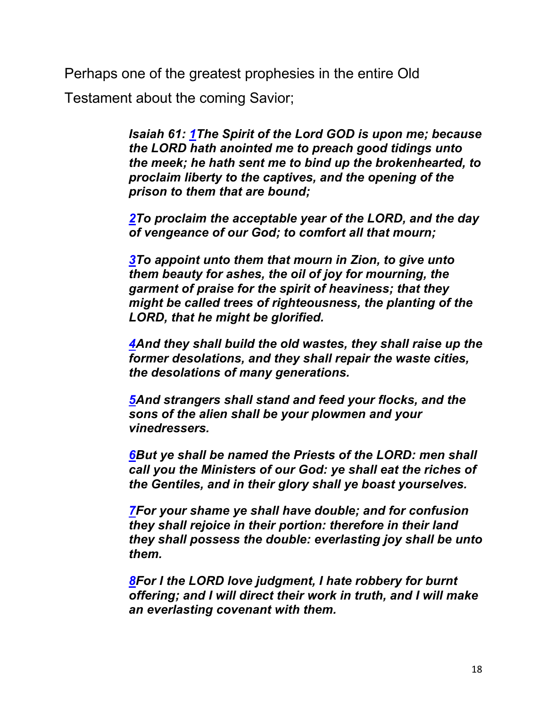Perhaps one of the greatest prophesies in the entire Old

Testament about the coming Savior;

*Isaiah 61: 1The Spirit of the Lord GOD is upon me; because the LORD hath anointed me to preach good tidings unto the meek; he hath sent me to bind up the brokenhearted, to proclaim liberty to the captives, and the opening of the prison to them that are bound;*

*2To proclaim the acceptable year of the LORD, and the day of vengeance of our God; to comfort all that mourn;*

*3To appoint unto them that mourn in Zion, to give unto them beauty for ashes, the oil of joy for mourning, the garment of praise for the spirit of heaviness; that they might be called trees of righteousness, the planting of the LORD, that he might be glorified.*

*4And they shall build the old wastes, they shall raise up the former desolations, and they shall repair the waste cities, the desolations of many generations.*

*5And strangers shall stand and feed your flocks, and the sons of the alien shall be your plowmen and your vinedressers.*

*6But ye shall be named the Priests of the LORD: men shall call you the Ministers of our God: ye shall eat the riches of the Gentiles, and in their glory shall ye boast yourselves.*

*7For your shame ye shall have double; and for confusion they shall rejoice in their portion: therefore in their land they shall possess the double: everlasting joy shall be unto them.*

*8For I the LORD love judgment, I hate robbery for burnt offering; and I will direct their work in truth, and I will make an everlasting covenant with them.*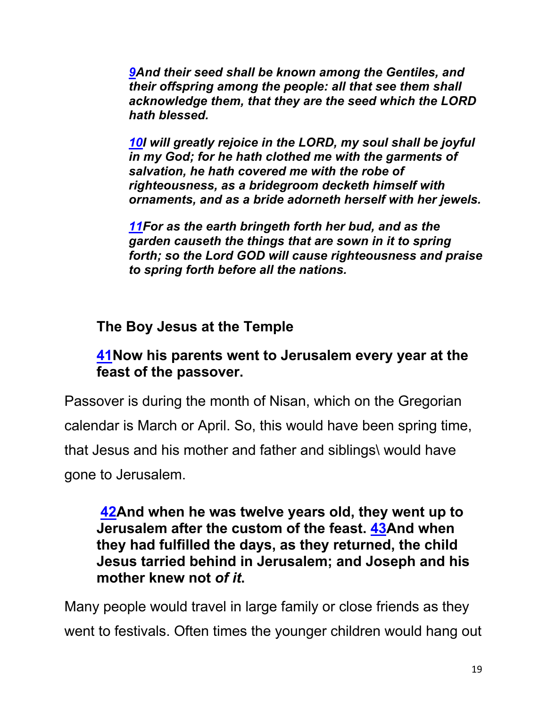*9And their seed shall be known among the Gentiles, and their offspring among the people: all that see them shall acknowledge them, that they are the seed which the LORD hath blessed.*

*10I will greatly rejoice in the LORD, my soul shall be joyful in my God; for he hath clothed me with the garments of salvation, he hath covered me with the robe of righteousness, as a bridegroom decketh himself with ornaments, and as a bride adorneth herself with her jewels.*

*11For as the earth bringeth forth her bud, and as the garden causeth the things that are sown in it to spring forth; so the Lord GOD will cause righteousness and praise to spring forth before all the nations.*

### **The Boy Jesus at the Temple**

#### **41Now his parents went to Jerusalem every year at the feast of the passover.**

Passover is during the month of Nisan, which on the Gregorian calendar is March or April. So, this would have been spring time, that Jesus and his mother and father and siblings\ would have gone to Jerusalem.

#### **42And when he was twelve years old, they went up to Jerusalem after the custom of the feast. 43And when they had fulfilled the days, as they returned, the child Jesus tarried behind in Jerusalem; and Joseph and his mother knew not** *of it***.**

Many people would travel in large family or close friends as they went to festivals. Often times the younger children would hang out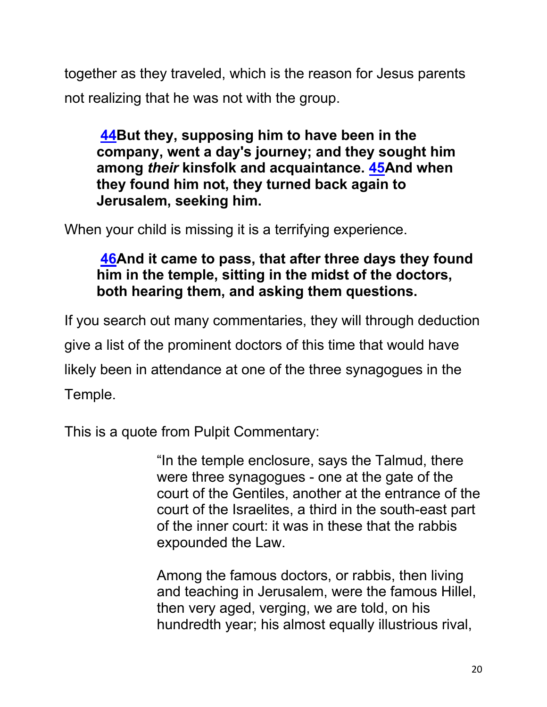together as they traveled, which is the reason for Jesus parents not realizing that he was not with the group.

**44But they, supposing him to have been in the company, went a day's journey; and they sought him among** *their* **kinsfolk and acquaintance. 45And when they found him not, they turned back again to Jerusalem, seeking him.**

When your child is missing it is a terrifying experience.

### **46And it came to pass, that after three days they found him in the temple, sitting in the midst of the doctors, both hearing them, and asking them questions.**

If you search out many commentaries, they will through deduction give a list of the prominent doctors of this time that would have likely been in attendance at one of the three synagogues in the Temple.

This is a quote from Pulpit Commentary:

"In the temple enclosure, says the Talmud, there were three synagogues - one at the gate of the court of the Gentiles, another at the entrance of the court of the Israelites, a third in the south-east part of the inner court: it was in these that the rabbis expounded the Law.

Among the famous doctors, or rabbis, then living and teaching in Jerusalem, were the famous Hillel, then very aged, verging, we are told, on his hundredth year; his almost equally illustrious rival,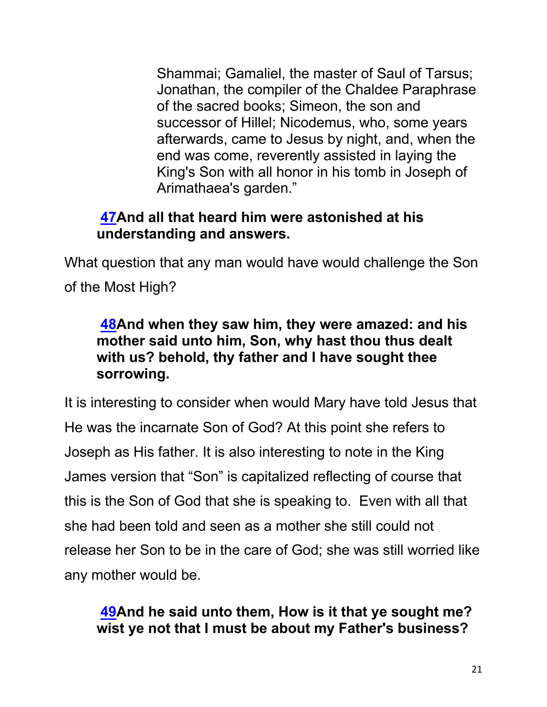Shammai; Gamaliel, the master of Saul of Tarsus; Jonathan, the compiler of the Chaldee Paraphrase of the sacred books; Simeon, the son and successor of Hillel; Nicodemus, who, some years afterwards, came to Jesus by night, and, when the end was come, reverently assisted in laying the King's Son with all honor in his tomb in Joseph of Arimathaea's garden."

#### **47And all that heard him were astonished at his understanding and answers.**

What question that any man would have would challenge the Son of the Most High?

### **48And when they saw him, they were amazed: and his mother said unto him, Son, why hast thou thus dealt with us? behold, thy father and I have sought thee sorrowing.**

It is interesting to consider when would Mary have told Jesus that He was the incarnate Son of God? At this point she refers to Joseph as His father. It is also interesting to note in the King James version that "Son" is capitalized reflecting of course that this is the Son of God that she is speaking to. Even with all that she had been told and seen as a mother she still could not release her Son to be in the care of God; she was still worried like any mother would be.

### **49And he said unto them, How is it that ye sought me? wist ye not that I must be about my Father's business?**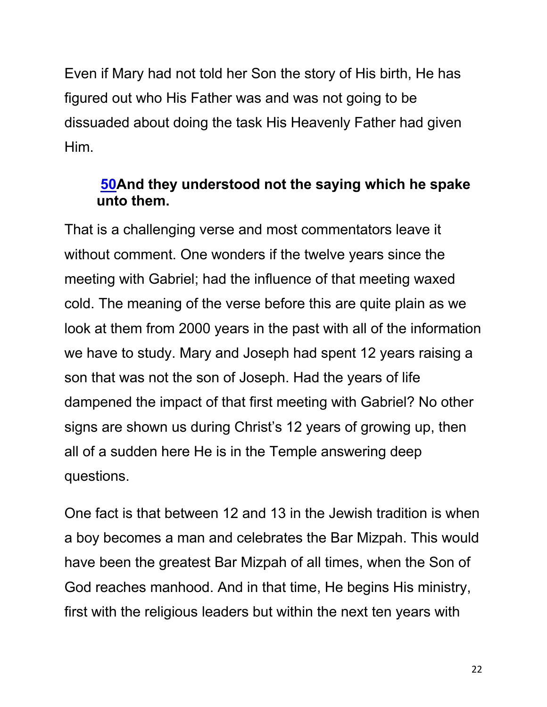Even if Mary had not told her Son the story of His birth, He has figured out who His Father was and was not going to be dissuaded about doing the task His Heavenly Father had given Him.

#### **50And they understood not the saying which he spake unto them.**

That is a challenging verse and most commentators leave it without comment. One wonders if the twelve years since the meeting with Gabriel; had the influence of that meeting waxed cold. The meaning of the verse before this are quite plain as we look at them from 2000 years in the past with all of the information we have to study. Mary and Joseph had spent 12 years raising a son that was not the son of Joseph. Had the years of life dampened the impact of that first meeting with Gabriel? No other signs are shown us during Christ's 12 years of growing up, then all of a sudden here He is in the Temple answering deep questions.

One fact is that between 12 and 13 in the Jewish tradition is when a boy becomes a man and celebrates the Bar Mizpah. This would have been the greatest Bar Mizpah of all times, when the Son of God reaches manhood. And in that time, He begins His ministry, first with the religious leaders but within the next ten years with